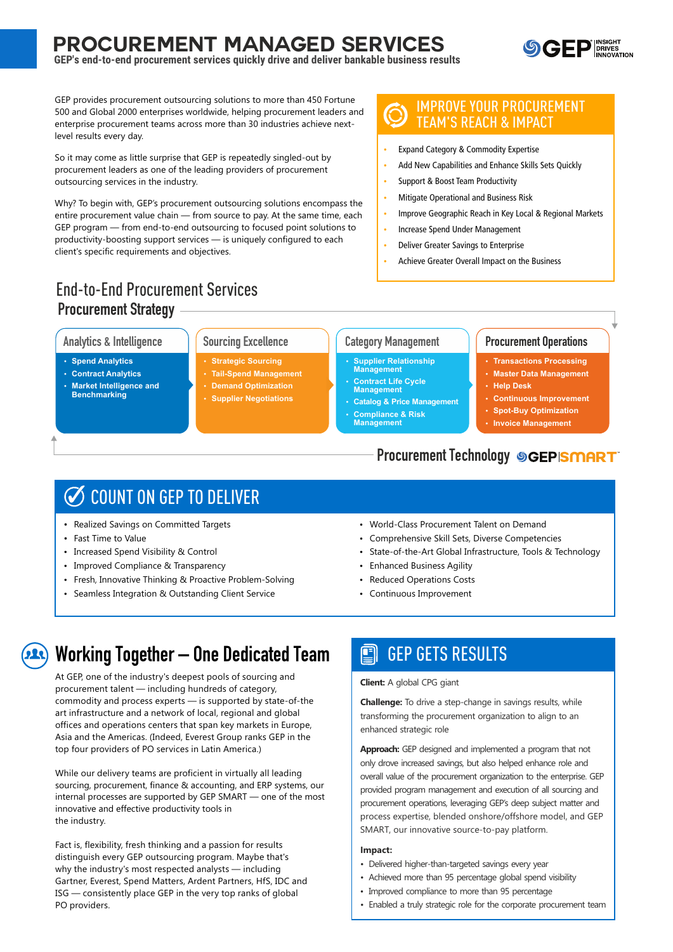## **PROCUREMENT MANAGED SERVICES**



GEP's end-to-end procurement services quickly drive and deliver bankable business results

GEP provides procurement outsourcing solutions to more than 450 Fortune 500 and Global 2000 enterprises worldwide, helping procurement leaders and enterprise procurement teams across more than 30 industries achieve nextlevel results every day.

So it may come as little surprise that GEP is repeatedly singled-out by procurement leaders as one of the leading providers of procurement outsourcing services in the industry.

Why? To begin with, GEP's procurement outsourcing solutions encompass the entire procurement value chain - from source to pay. At the same time, each GEP program – from end-to-end outsourcing to focused point solutions to productivity-boosting support services - is uniquely configured to each client's specific requirements and objectives.

### **End-to-End Procurement Services Procurement Strategy**

#### **Analytics & Intelligence**

- Spend Analytics
- Contract Analytics
- **Market Intelligence and Benchmarking**

**Sourcing Excellence** 

- Strategic Sourcing
- **Tail-Spend Management**
- **Demand Optimization**
- · Supplier Negotiations

### **IMPROVE YOUR PROCUREMENT TEAM'S REACH & IMPACT**

- Expand Category & Commodity Expertise
- Add New Capabilities and Enhance Skills Sets Quickly
- **Support & Boost Team Productivity**
- Mitigate Operational and Business Risk
- Improve Geographic Reach in Key Local & Regional Markets
- **Increase Spend Under Management**
- **Deliver Greater Savings to Enterprise**
- Achieve Greater Overall Impact on the Business

### **Category Management**

- **Supplier Relationship** Management
- **Contract Life Cycle**<br>Management
- **Catalog & Price Management Compliance & Risk Management**

### **Procurement Operations**

- Transactions Processing
- Master Data Management
- · Help Desk
- Continuous Improvement
- Spot-Buy Optimization
- **Invoice Management**

### **Procurement Technology SGEPISMART**

## COUNT ON GEP TO DELIVER

- Realized Savings on Committed Targets
- Fast Time to Value
- Increased Spend Visibility & Control
- Improved Compliance & Transparency
- Fresh, Innovative Thinking & Proactive Problem-Solving
- Seamless Integration & Outstanding Client Service
- World-Class Procurement Talent on Demand
- Comprehensive Skill Sets, Diverse Competencies
- State-of-the-Art Global Infrastructure, Tools & Technology
- Enhanced Business Agility
- Reduced Operations Costs
- Continuous Improvement

## **Working Together - One Dedicated Team**

At GEP, one of the industry's deepest pools of sourcing and procurement talent — including hundreds of category. commodity and process experts - is supported by state-of-the art infrastructure and a network of local, regional and global offices and operations centers that span key markets in Europe, Asia and the Americas. (Indeed, Everest Group ranks GEP in the top four providers of PO services in Latin America.)

While our delivery teams are proficient in virtually all leading sourcing, procurement, finance & accounting, and ERP systems, our internal processes are supported by GEP SMART - one of the most innovative and effective productivity tools in the industry.

Fact is, flexibility, fresh thinking and a passion for results distinguish every GEP outsourcing program. Maybe that's why the industry's most respected analysts - including Gartner, Everest, Spend Matters, Ardent Partners, HfS, IDC and ISG — consistently place GEP in the very top ranks of global PO providers.

#### **GEP GETS RESULTS** 멱

**Client:** A global CPG giant

**Challenge:** To drive a step-change in savings results, while transforming the procurement organization to align to an enhanced strategic role

Approach: GEP designed and implemented a program that not only drove increased savings, but also helped enhance role and overall value of the procurement organization to the enterprise. GEP provided program management and execution of all sourcing and procurement operations, leveraging GEP's deep subject matter and process expertise, blended onshore/offshore model, and GEP SMART, our innovative source-to-pay platform.

#### Impact:

- · Delivered higher-than-targeted savings every year
- Achieved more than 95 percentage global spend visibility
- Improved compliance to more than 95 percentage
- Enabled a truly strategic role for the corporate procurement team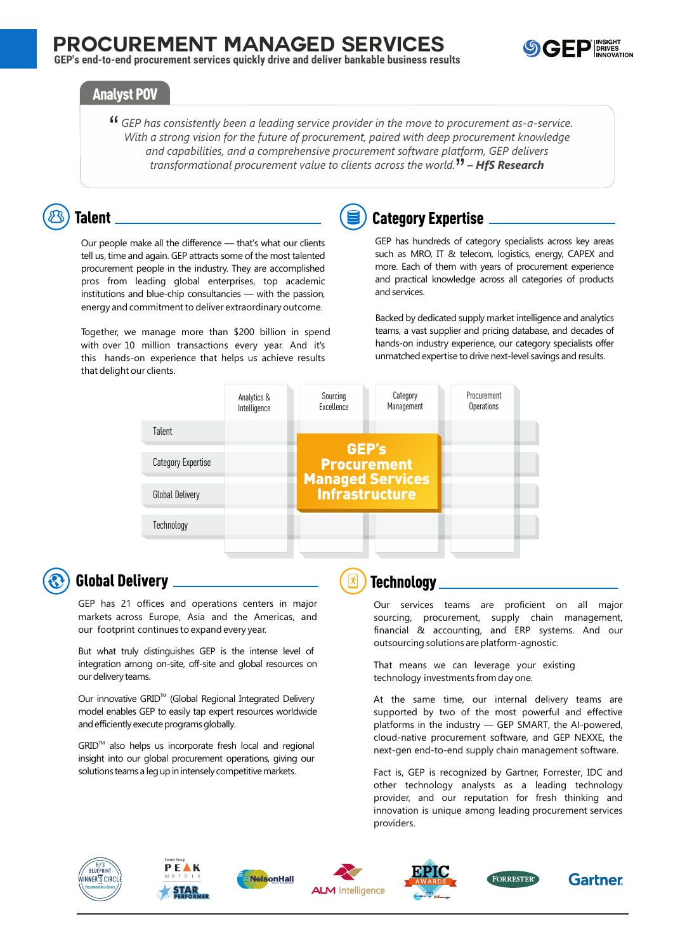

### **Analyst POV**

<sup>44</sup> GEP has consistently been a leading service provider in the move to procurement as-a-service. With a strong vision for the future of procurement, paired with deep procurement knowledge and capabilities, and a comprehensive procurement software platform, GEP delivers transformational procurement value to clients across the world.<sup>77</sup> – **HfS Research** 

## **Talent**

Our people make all the difference - that's what our clients tell us, time and again. GEP attracts some of the most talented procurement people in the industry. They are accomplished pros from leading global enterprises, top academic institutions and blue-chip consultancies - with the passion, energy and commitment to deliver extraordinary outcome.

Together, we manage more than \$200 billion in spend with over 10 million transactions every year. And it's this hands-on experience that helps us achieve results that delight our clients.



### **Category Expertise**

GEP has hundreds of category specialists across key areas such as MRO, IT & telecom, logistics, energy, CAPEX and more. Each of them with years of procurement experience and practical knowledge across all categories of products and services.

Backed by dedicated supply market intelligence and analytics teams, a vast supplier and pricing database, and decades of hands-on industry experience, our category specialists offer unmatched expertise to drive next-level savings and results.



### **Global Delivery**

GEP has 21 offices and operations centers in major markets across Europe, Asia and the Americas, and our footprint continues to expand every year.

But what truly distinguishes GEP is the intense level of integration among on-site, off-site and global resources on our delivery teams.

Our innovative GRID<sup>™</sup> (Global Regional Integrated Delivery model enables GEP to easily tap expert resources worldwide and efficiently execute programs globally.

GRID™ also helps us incorporate fresh local and regional insight into our global procurement operations, giving our solutions teams a leg up in intensely competitive markets.

### **Technology**

Our services teams are proficient on all major sourcing, procurement, supply chain management, financial & accounting, and ERP systems. And our outsourcing solutions are platform-agnostic.

That means we can leverage your existing technology investments from day one.

At the same time, our internal delivery teams are supported by two of the most powerful and effective platforms in the industry - GEP SMART, the Al-powered, cloud-native procurement software, and GEP NEXXE, the next-gen end-to-end supply chain management software.

Fact is, GEP is recognized by Gartner, Forrester, IDC and other technology analysts as a leading technology provider, and our reputation for fresh thinking and innovation is unique among leading procurement services providers.